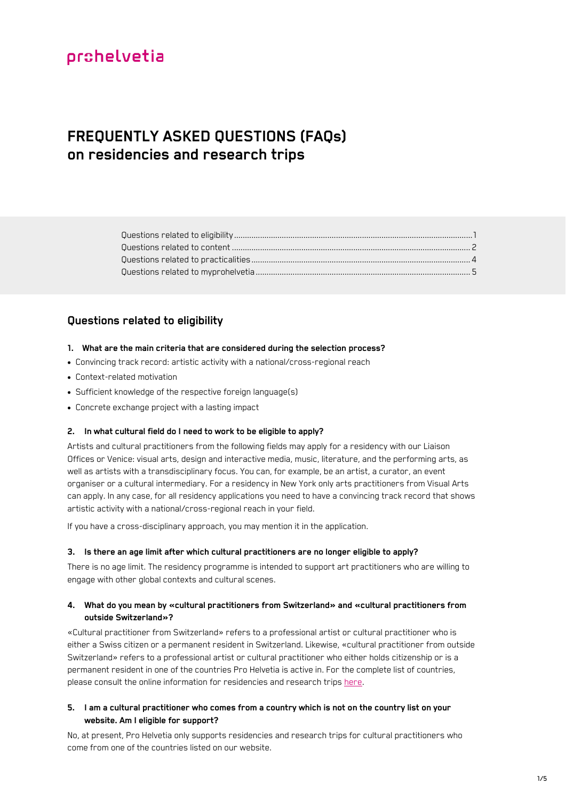## **FREQUENTLY ASKED QUESTIONS (FAQs) on residencies and research trips**

## <span id="page-0-0"></span>**Questions related to eligibility**

#### **1. What are the main criteria that are considered during the selection process?**

- Convincing track record: artistic activity with a national/cross-regional reach
- Context-related motivation
- Sufficient knowledge of the respective foreign language(s)
- Concrete exchange project with a lasting impact

## **2. In what cultural field do I need to work to be eligible to apply?**

Artists and cultural practitioners from the following fields may apply for a residency with our Liaison Offices or Venice: visual arts, design and interactive media, music, literature, and the performing arts, as well as artists with a transdisciplinary focus. You can, for example, be an artist, a curator, an event organiser or a cultural intermediary. For a residency in New York only arts practitioners from Visual Arts can apply. In any case, for all residency applications you need to have a convincing track record that shows artistic activity with a national/cross-regional reach in your field.

If you have a cross-disciplinary approach, you may mention it in the application.

#### **3. Is there an age limit after which cultural practitioners are no longer eligible to apply?**

There is no age limit. The residency programme is intended to support art practitioners who are willing to engage with other global contexts and cultural scenes.

## **4. What do you mean by «cultural practitioners from Switzerland» and «cultural practitioners from outside Switzerland»?**

«Cultural practitioner from Switzerland» refers to a professional artist or cultural practitioner who is either a Swiss citizen or a permanent resident in Switzerland. Likewise, «cultural practitioner from outside Switzerland» refers to a professional artist or cultural practitioner who either holds citizenship or is a permanent resident in one of the countries Pro Helvetia is active in. For the complete list of countries, please consult the online information for residencies and research trips [here.](https://prohelvetia.ch/en/residencies-and-research-trips/)

## **5. I am a cultural practitioner who comes from a country which is not on the country list on your website. Am I eligible for support?**

No, at present, Pro Helvetia only supports residencies and research trips for cultural practitioners who come from one of the countries listed on our website.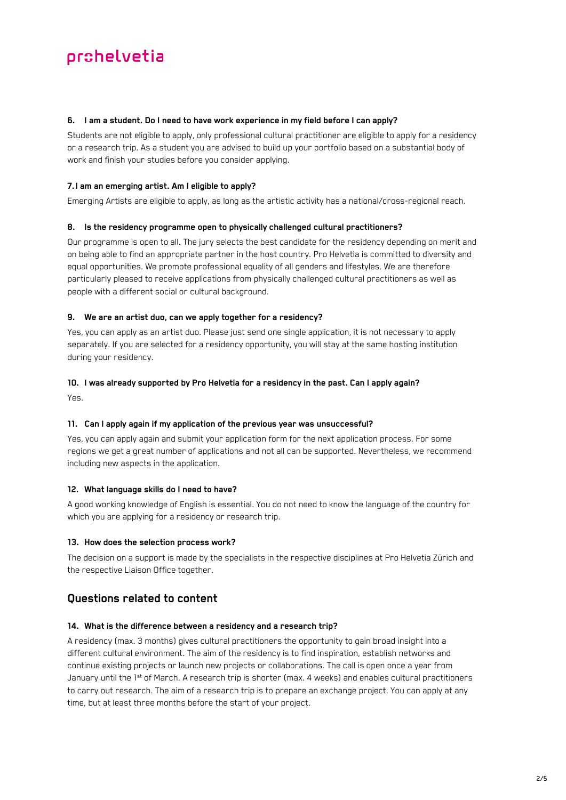#### **6. I am a student. Do I need to have work experience in my field before I can apply?**

Students are not eligible to apply, only professional cultural practitioner are eligible to apply for a residency or a research trip. As a student you are advised to build up your portfolio based on a substantial body of work and finish your studies before you consider applying.

## **7.I am an emerging artist. Am I eligible to apply?**

Emerging Artists are eligible to apply, as long as the artistic activity has a national/cross-regional reach.

## **8. Is the residency programme open to physically challenged cultural practitioners?**

Our programme is open to all. The jury selects the best candidate for the residency depending on merit and on being able to find an appropriate partner in the host country. Pro Helvetia is committed to diversity and equal opportunities. We promote professional equality of all genders and lifestyles. We are therefore particularly pleased to receive applications from physically challenged cultural practitioners as well as people with a different social or cultural background.

## **9. We are an artist duo, can we apply together for a residency?**

Yes, you can apply as an artist duo. Please just send one single application, it is not necessary to apply separately. If you are selected for a residency opportunity, you will stay at the same hosting institution during your residency.

## **10. I was already supported by Pro Helvetia for a residency in the past. Can I apply again?**

Yes.

## **11. Can I apply again if my application of the previous year was unsuccessful?**

Yes, you can apply again and submit your application form for the next application process. For some regions we get a great number of applications and not all can be supported. Nevertheless, we recommend including new aspects in the application.

## **12. What language skills do I need to have?**

A good working knowledge of English is essential. You do not need to know the language of the country for which you are applying for a residency or research trip.

## **13. How does the selection process work?**

The decision on a support is made by the specialists in the respective disciplines at Pro Helvetia Zürich and the respective Liaison Office together.

## <span id="page-1-0"></span>**Questions related to content**

## **14. What is the difference between a residency and a research trip?**

A residency (max. 3 months) gives cultural practitioners the opportunity to gain broad insight into a different cultural environment. The aim of the residency is to find inspiration, establish networks and continue existing projects or launch new projects or collaborations. The call is open once a year from January until the 1<sup>st</sup> of March. A research trip is shorter (max. 4 weeks) and enables cultural practitioners to carry out research. The aim of a research trip is to prepare an exchange project. You can apply at any time, but at least three months before the start of your project.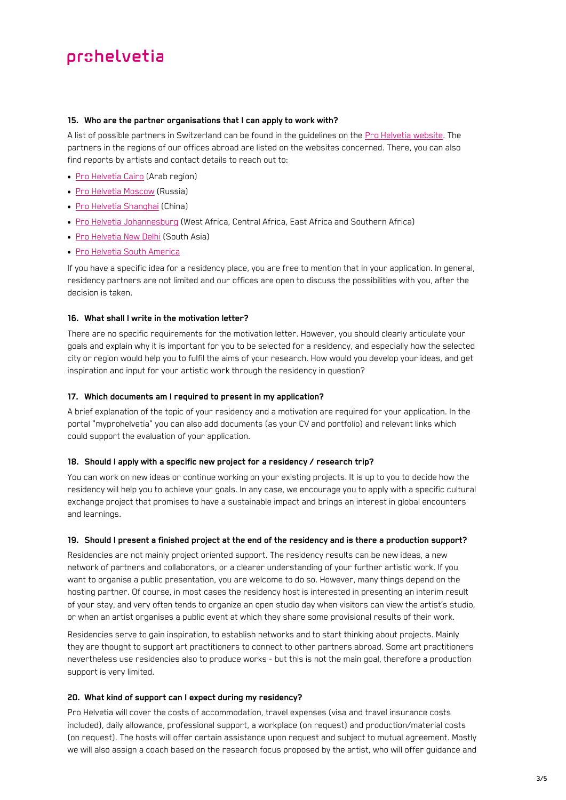#### <span id="page-2-0"></span>**15. Who are the partner organisations that I can apply to work with?**

A list of possible partners in Switzerland can be found in the guidelines on the [Pro Helvetia website.](https://prohelvetia.ch/en/residencies-research-trips/) The partners in the regions of our offices abroad are listed on the websites concerned. There, you can also find reports by artists and contact details to reach out to:

- [Pro Helvetia Cairo](https://prohelvetia.org.eg/en/residency/residencies-2023-call-for-applications/) (Arab region)
- [Pro Helvetia Moscow](https://prohelvetia.ru/en/residency/studio-residencies/) (Russia)
- [Pro Helvetia Shanghai](https://prohelvetia.cn/en/residency/studio-residency/) (China)
- [Pro Helvetia Johannesburg](https://johannesburg.prohelvetia.org/en/residency/residencies/) (West Africa, Central Africa, East Africa and Southern Africa)
- [Pro Helvetia New Delhi](https://prohelvetia.in/en/residency/residencies/) (South Asia)
- [Pro Helvetia South America](https://southamerica.prohelvetia.org/en/residency/residencies/)

If you have a specific idea for a residency place, you are free to mention that in your application. In general, residency partners are not limited and our offices are open to discuss the possibilities with you, after the decision is taken.

### **16. What shall I write in the motivation letter?**

There are no specific requirements for the motivation letter. However, you should clearly articulate your goals and explain why it is important for you to be selected for a residency, and especially how the selected city or region would help you to fulfil the aims of your research. How would you develop your ideas, and get inspiration and input for your artistic work through the residency in question?

#### **17. Which documents am I required to present in my application?**

A brief explanation of the topic of your residency and a motivation are required for your application. In the portal "myprohelvetia" you can also add documents (as your CV and portfolio) and relevant links which could support the evaluation of your application.

#### **18. Should I apply with a specific new project for a residency / research trip?**

You can work on new ideas or continue working on your existing projects. It is up to you to decide how the residency will help you to achieve your goals. In any case, we encourage you to apply with a specific cultural exchange project that promises to have a sustainable impact and brings an interest in global encounters and learnings.

#### **19. Should I present a finished project at the end of the residency and is there a production support?**

Residencies are not mainly project oriented support. The residency results can be new ideas, a new network of partners and collaborators, or a clearer understanding of your further artistic work. If you want to organise a public presentation, you are welcome to do so. However, many things depend on the hosting partner. Of course, in most cases the residency host is interested in presenting an interim result of your stay, and very often tends to organize an open studio day when visitors can view the artist's studio, or when an artist organises a public event at which they share some provisional results of their work.

Residencies serve to gain inspiration, to establish networks and to start thinking about projects. Mainly they are thought to support art practitioners to connect to other partners abroad. Some art practitioners nevertheless use residencies also to produce works - but this is not the main goal, therefore a production support is very limited.

#### **20. What kind of support can I expect during my residency?**

Pro Helvetia will cover the costs of accommodation, travel expenses (visa and travel insurance costs included), daily allowance, professional support, a workplace (on request) and production/material costs (on request). The hosts will offer certain assistance upon request and subject to mutual agreement. Mostly we will also assign a coach based on the research focus proposed by the artist, who will offer guidance and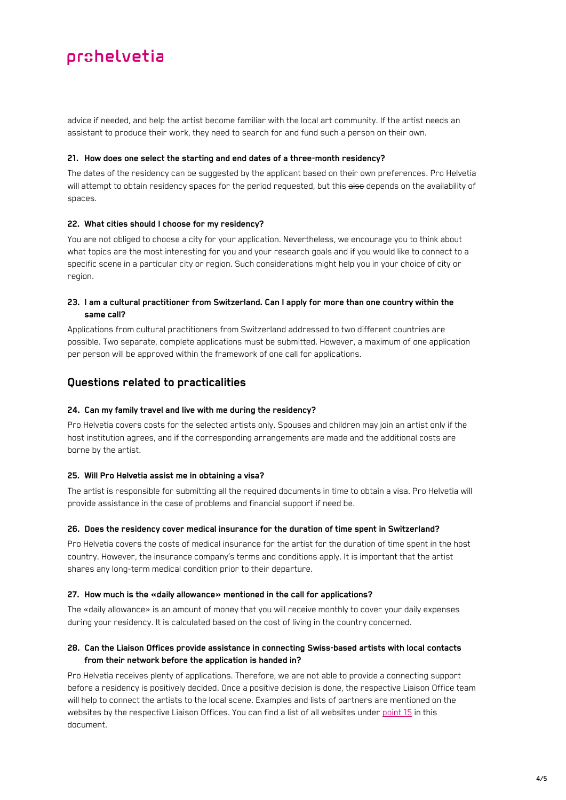advice if needed, and help the artist become familiar with the local art community. If the artist needs an assistant to produce their work, they need to search for and fund such a person on their own.

#### **21. How does one select the starting and end dates of a three-month residency?**

The dates of the residency can be suggested by the applicant based on their own preferences. Pro Helyetia will attempt to obtain residency spaces for the period requested, but this also depends on the availability of spaces.

## **22. What cities should I choose for my residency?**

You are not obliged to choose a city for your application. Nevertheless, we encourage you to think about what topics are the most interesting for you and your research goals and if you would like to connect to a specific scene in a particular city or region. Such considerations might help you in your choice of city or region.

## **23. I am a cultural practitioner from Switzerland. Can I apply for more than one country within the same call?**

Applications from cultural practitioners from Switzerland addressed to two different countries are possible. Two separate, complete applications must be submitted. However, a maximum of one application per person will be approved within the framework of one call for applications.

## <span id="page-3-0"></span>**Questions related to practicalities**

## **24. Can my family travel and live with me during the residency?**

Pro Helvetia covers costs for the selected artists only. Spouses and children may join an artist only if the host institution agrees, and if the corresponding arrangements are made and the additional costs are borne by the artist.

#### **25. Will Pro Helvetia assist me in obtaining a visa?**

The artist is responsible for submitting all the required documents in time to obtain a visa. Pro Helvetia will provide assistance in the case of problems and financial support if need be.

#### **26. Does the residency cover medical insurance for the duration of time spent in Switzerland?**

Pro Helvetia covers the costs of medical insurance for the artist for the duration of time spent in the host country. However, the insurance company's terms and conditions apply. It is important that the artist shares any long-term medical condition prior to their departure.

#### **27. How much is the «daily allowance» mentioned in the call for applications?**

The «daily allowance» is an amount of money that you will receive monthly to cover your daily expenses during your residency. It is calculated based on the cost of living in the country concerned.

## **28. Can the Liaison Offices provide assistance in connecting Swiss-based artists with local contacts from their network before the application is handed in?**

Pro Helvetia receives plenty of applications. Therefore, we are not able to provide a connecting support before a residency is positively decided. Once a positive decision is done, the respective Liaison Office team will help to connect the artists to the local scene. Examples and lists of partners are mentioned on the websites by the respective Liaison Offices. You can find a list of all websites under [point 15](#page-2-0) in this document.